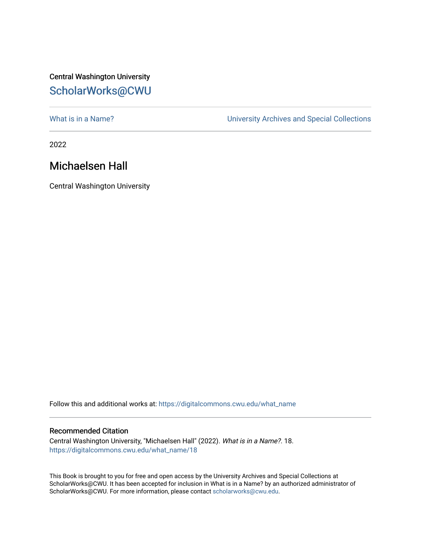## Central Washington University [ScholarWorks@CWU](https://digitalcommons.cwu.edu/)

What is in a Name?<br>
University Archives and Special Collections

2022

## Michaelsen Hall

Central Washington University

Follow this and additional works at: [https://digitalcommons.cwu.edu/what\\_name](https://digitalcommons.cwu.edu/what_name?utm_source=digitalcommons.cwu.edu%2Fwhat_name%2F18&utm_medium=PDF&utm_campaign=PDFCoverPages) 

## Recommended Citation

Central Washington University, "Michaelsen Hall" (2022). What is in a Name?. 18. [https://digitalcommons.cwu.edu/what\\_name/18](https://digitalcommons.cwu.edu/what_name/18?utm_source=digitalcommons.cwu.edu%2Fwhat_name%2F18&utm_medium=PDF&utm_campaign=PDFCoverPages) 

This Book is brought to you for free and open access by the University Archives and Special Collections at ScholarWorks@CWU. It has been accepted for inclusion in What is in a Name? by an authorized administrator of ScholarWorks@CWU. For more information, please contact [scholarworks@cwu.edu](mailto:scholarworks@cwu.edu).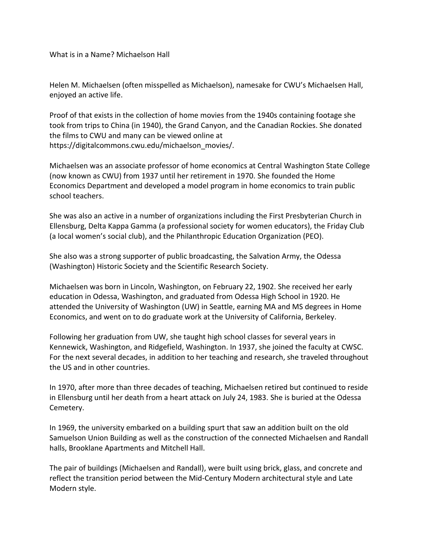What is in a Name? Michaelson Hall

Helen M. Michaelsen (often misspelled as Michaelson), namesake for CWU's Michaelsen Hall, enjoyed an active life.

Proof of that exists in the collection of home movies from the 1940s containing footage she took from trips to China (in 1940), the Grand Canyon, and the Canadian Rockies. She donated the films to CWU and many can be viewed online at https://digitalcommons.cwu.edu/michaelson\_movies/.

Michaelsen was an associate professor of home economics at Central Washington State College (now known as CWU) from 1937 until her retirement in 1970. She founded the Home Economics Department and developed a model program in home economics to train public school teachers.

She was also an active in a number of organizations including the First Presbyterian Church in Ellensburg, Delta Kappa Gamma (a professional society for women educators), the Friday Club (a local women's social club), and the Philanthropic Education Organization (PEO).

She also was a strong supporter of public broadcasting, the Salvation Army, the Odessa (Washington) Historic Society and the Scientific Research Society.

Michaelsen was born in Lincoln, Washington, on February 22, 1902. She received her early education in Odessa, Washington, and graduated from Odessa High School in 1920. He attended the University of Washington (UW) in Seattle, earning MA and MS degrees in Home Economics, and went on to do graduate work at the University of California, Berkeley.

Following her graduation from UW, she taught high school classes for several years in Kennewick, Washington, and Ridgefield, Washington. In 1937, she joined the faculty at CWSC. For the next several decades, in addition to her teaching and research, she traveled throughout the US and in other countries.

In 1970, after more than three decades of teaching, Michaelsen retired but continued to reside in Ellensburg until her death from a heart attack on July 24, 1983. She is buried at the Odessa Cemetery.

In 1969, the university embarked on a building spurt that saw an addition built on the old Samuelson Union Building as well as the construction of the connected Michaelsen and Randall halls, Brooklane Apartments and Mitchell Hall.

The pair of buildings (Michaelsen and Randall), were built using brick, glass, and concrete and reflect the transition period between the Mid-Century Modern architectural style and Late Modern style.